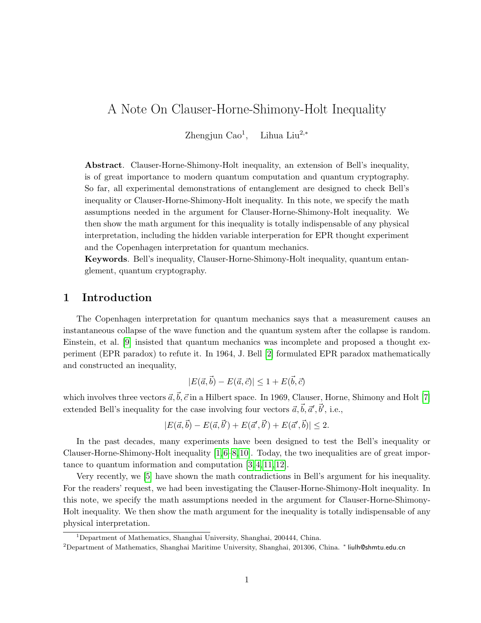# A Note On Clauser-Horne-Shimony-Holt Inequality

Zhengjun  $\text{Cao}^1$ . , Lihua Liu<sup>2</sup>,<sup>∗</sup>

Abstract. Clauser-Horne-Shimony-Holt inequality, an extension of Bell's inequality, is of great importance to modern quantum computation and quantum cryptography. So far, all experimental demonstrations of entanglement are designed to check Bell's inequality or Clauser-Horne-Shimony-Holt inequality. In this note, we specify the math assumptions needed in the argument for Clauser-Horne-Shimony-Holt inequality. We then show the math argument for this inequality is totally indispensable of any physical interpretation, including the hidden variable interperation for EPR thought experiment and the Copenhagen interpretation for quantum mechanics.

Keywords. Bell's inequality, Clauser-Horne-Shimony-Holt inequality, quantum entanglement, quantum cryptography.

### 1 Introduction

The Copenhagen interpretation for quantum mechanics says that a measurement causes an instantaneous collapse of the wave function and the quantum system after the collapse is random. Einstein, et al. [\[9\]](#page-2-0) insisted that quantum mechanics was incomplete and proposed a thought experiment (EPR paradox) to refute it. In 1964, J. Bell [\[2\]](#page-2-1) formulated EPR paradox mathematically and constructed an inequality,

$$
|E(\vec{a}, \vec{b}) - E(\vec{a}, \vec{c})| \le 1 + E(\vec{b}, \vec{c})
$$

which involves three vectors  $\vec{a}, \vec{b}, \vec{c}$  in a Hilbert space. In 1969, Clauser, Horne, Shimony and Holt [\[7\]](#page-2-2) extended Bell's inequality for the case involving four vectors  $\vec{a}, \vec{b}, \vec{a}', \vec{b}',$  i.e.,

$$
|E(\vec{a}, \vec{b}) - E(\vec{a}, \vec{b}') + E(\vec{a}', \vec{b}') + E(\vec{a}', \vec{b})| \le 2.
$$

In the past decades, many experiments have been designed to test the Bell's inequality or Clauser-Horne-Shimony-Holt inequality  $[1, 6-8, 10]$  $[1, 6-8, 10]$  $[1, 6-8, 10]$  $[1, 6-8, 10]$ . Today, the two inequalities are of great importance to quantum information and computation [\[3,](#page-2-7) [4,](#page-2-8) [11,](#page-2-9) [12\]](#page-2-10).

Very recently, we [\[5\]](#page-2-11) have shown the math contradictions in Bell's argument for his inequality. For the readers' request, we had been investigating the Clauser-Horne-Shimony-Holt inequality. In this note, we specify the math assumptions needed in the argument for Clauser-Horne-Shimony-Holt inequality. We then show the math argument for the inequality is totally indispensable of any physical interpretation.

<sup>&</sup>lt;sup>1</sup>Department of Mathematics, Shanghai University, Shanghai, 200444, China.

<sup>&</sup>lt;sup>2</sup>Department of Mathematics, Shanghai Maritime University, Shanghai, 201306, China. <sup>∗</sup> liulh@shmtu.edu.cn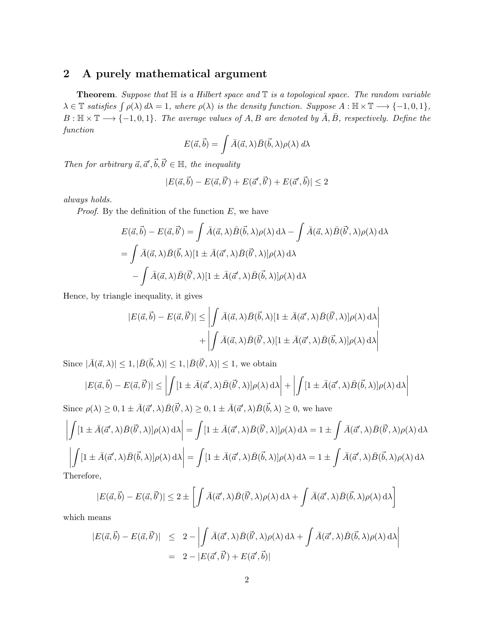### 2 A purely mathematical argument

**Theorem.** Suppose that  $\mathbb{H}$  is a Hilbert space and  $\mathbb{T}$  is a topological space. The random variable  $\lambda \in \mathbb{T}$  satisfies  $\int \rho(\lambda) d\lambda = 1$ , where  $\rho(\lambda)$  is the density function. Suppose  $A : \mathbb{H} \times \mathbb{T} \longrightarrow \{-1, 0, 1\}$ ,  $B: \mathbb{H} \times \mathbb{T} \longrightarrow \{-1,0,1\}$ . The average values of A, B are denoted by  $\overline{A}, \overline{B}$ , respectively. Define the function

$$
E(\vec{a}, \vec{b}) = \int \bar{A}(\vec{a}, \lambda) \bar{B}(\vec{b}, \lambda) \rho(\lambda) d\lambda
$$

Then for arbitrary  $\vec{a}, \vec{a}', \vec{b}, \vec{b}' \in \mathbb{H}$ , the inequality

$$
|E(\vec{a}, \vec{b}) - E(\vec{a}, \vec{b}') + E(\vec{a}', \vec{b}') + E(\vec{a}', \vec{b})| \le 2
$$

always holds.

*Proof.* By the definition of the function  $E$ , we have

$$
E(\vec{a}, \vec{b}) - E(\vec{a}, \vec{b}') = \int \bar{A}(\vec{a}, \lambda) \bar{B}(\vec{b}, \lambda) \rho(\lambda) d\lambda - \int \bar{A}(\vec{a}, \lambda) \bar{B}(\vec{b}', \lambda) \rho(\lambda) d\lambda
$$
  
= 
$$
\int \bar{A}(\vec{a}, \lambda) \bar{B}(\vec{b}, \lambda) [1 \pm \bar{A}(\vec{a}', \lambda) \bar{B}(\vec{b}', \lambda)] \rho(\lambda) d\lambda
$$
  
- 
$$
\int \bar{A}(\vec{a}, \lambda) \bar{B}(\vec{b}', \lambda) [1 \pm \bar{A}(\vec{a}', \lambda) \bar{B}(\vec{b}, \lambda)] \rho(\lambda) d\lambda
$$

Hence, by triangle inequality, it gives

$$
|E(\vec{a}, \vec{b}) - E(\vec{a}, \vec{b}')| \le \left| \int \bar{A}(\vec{a}, \lambda) \bar{B}(\vec{b}, \lambda) [1 \pm \bar{A}(\vec{a}', \lambda) \bar{B}(\vec{b}', \lambda)] \rho(\lambda) d\lambda \right|
$$

$$
+ \left| \int \bar{A}(\vec{a}, \lambda) \bar{B}(\vec{b}', \lambda) [1 \pm \bar{A}(\vec{a}', \lambda) \bar{B}(\vec{b}, \lambda)] \rho(\lambda) d\lambda \right|
$$

Since  $|\bar{A}(\vec{a},\lambda)| \leq 1, |\bar{B}(\vec{b},\lambda)| \leq 1, |\bar{B}(\vec{b}',\lambda)| \leq 1$ , we obtain

$$
|E(\vec{a}, \vec{b}) - E(\vec{a}, \vec{b}')| \le \left| \int [1 \pm \bar{A}(\vec{a}', \lambda) \bar{B}(\vec{b}', \lambda)] \rho(\lambda) d\lambda \right| + \left| \int [1 \pm \bar{A}(\vec{a}', \lambda) \bar{B}(\vec{b}, \lambda)] \rho(\lambda) d\lambda \right|
$$

Since  $\rho(\lambda) \geq 0, 1 \pm \overline{A}(\overline{a}', \lambda) \overline{B}(\overline{b}', \lambda) \geq 0, 1 \pm \overline{A}(\overline{a}', \lambda) \overline{B}(\overline{b}, \lambda) \geq 0$ , we have

$$
\left| \int [1 \pm \bar{A}(\vec{a}', \lambda) \bar{B}(\vec{b}', \lambda)] \rho(\lambda) d\lambda \right| = \int [1 \pm \bar{A}(\vec{a}', \lambda) \bar{B}(\vec{b}', \lambda)] \rho(\lambda) d\lambda = 1 \pm \int \bar{A}(\vec{a}', \lambda) \bar{B}(\vec{b}', \lambda) \rho(\lambda) d\lambda
$$

$$
\left| \int [1 \pm \bar{A}(\vec{a}', \lambda) \bar{B}(\vec{b}, \lambda)] \rho(\lambda) d\lambda \right| = \int [1 \pm \bar{A}(\vec{a}', \lambda) \bar{B}(\vec{b}, \lambda)] \rho(\lambda) d\lambda = 1 \pm \int \bar{A}(\vec{a}', \lambda) \bar{B}(\vec{b}, \lambda) \rho(\lambda) d\lambda
$$
Therefore.

Therefore,

$$
|E(\vec{a}, \vec{b}) - E(\vec{a}, \vec{b}')| \le 2 \pm \left[ \int \bar{A}(\vec{a}', \lambda) \bar{B}(\vec{b}', \lambda) \rho(\lambda) d\lambda + \int \bar{A}(\vec{a}', \lambda) \bar{B}(\vec{b}, \lambda) \rho(\lambda) d\lambda \right]
$$

which means

$$
|E(\vec{a}, \vec{b}) - E(\vec{a}, \vec{b}')| \le 2 - \left| \int \bar{A}(\vec{a}', \lambda) \bar{B}(\vec{b}', \lambda) \rho(\lambda) d\lambda + \int \bar{A}(\vec{a}', \lambda) \bar{B}(\vec{b}, \lambda) \rho(\lambda) d\lambda \right|
$$
  
= 2 - |E(\vec{a}', \vec{b}') + E(\vec{a}', \vec{b})|